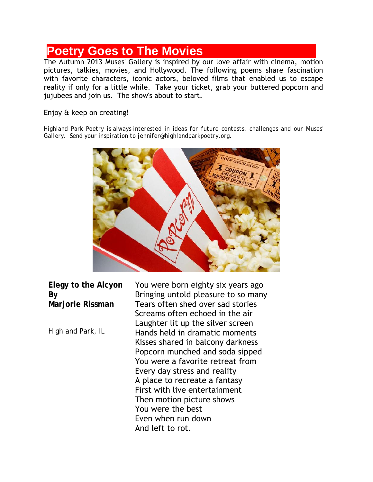## **Poetry Goes to The Movies**

The Autumn 2013 Muses' Gallery is inspired by our love affair with cinema, motion pictures, talkies, movies, and Hollywood. The following poems share fascination with favorite characters, iconic actors, beloved films that enabled us to escape reality if only for a little while. Take your ticket, grab your buttered popcorn and jujubees and join us. The show's about to start.

## Enjoy & keep on creating!

*Highland Park Poetry is always interested in ideas for future contests, challenges and our Muses' Gallery. Send your inspiration to jennifer@highlandparkpoetry.org.*



**Elegy to the Alcyon By Marjorie Rissman**

*Highland Park, IL*

You were born eighty six years ago Bringing untold pleasure to so many Tears often shed over sad stories Screams often echoed in the air Laughter lit up the silver screen Hands held in dramatic moments Kisses shared in balcony darkness Popcorn munched and soda sipped You were a favorite retreat from Every day stress and reality A place to recreate a fantasy First with live entertainment Then motion picture shows You were the best Even when run down And left to rot.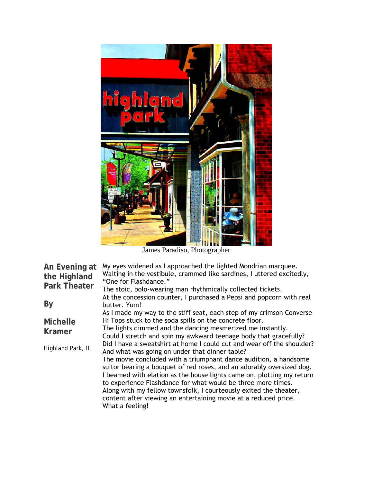

James Paradiso, Photographer

| An Evening at<br>the Highland<br><b>Park Theater</b>  | My eyes widened as I approached the lighted Mondrian marquee.<br>Waiting in the vestibule, crammed like sardines, I uttered excitedly,<br>"One for Flashdance."<br>The stoic, bolo-wearing man rhythmically collected tickets.<br>At the concession counter, I purchased a Pepsi and popcorn with real                                                                                                                                                                                                                                                                                                                                                                                                                                                                                                                                          |
|-------------------------------------------------------|-------------------------------------------------------------------------------------------------------------------------------------------------------------------------------------------------------------------------------------------------------------------------------------------------------------------------------------------------------------------------------------------------------------------------------------------------------------------------------------------------------------------------------------------------------------------------------------------------------------------------------------------------------------------------------------------------------------------------------------------------------------------------------------------------------------------------------------------------|
| By                                                    | butter. Yum!                                                                                                                                                                                                                                                                                                                                                                                                                                                                                                                                                                                                                                                                                                                                                                                                                                    |
| <b>Michelle</b><br><b>Kramer</b><br>Highland Park, IL | As I made my way to the stiff seat, each step of my crimson Converse<br>Hi Tops stuck to the soda spills on the concrete floor.<br>The lights dimmed and the dancing mesmerized me instantly.<br>Could I stretch and spin my awkward teenage body that gracefully?<br>Did I have a sweatshirt at home I could cut and wear off the shoulder?<br>And what was going on under that dinner table?<br>The movie concluded with a triumphant dance audition, a handsome<br>suitor bearing a bouquet of red roses, and an adorably oversized dog.<br>I beamed with elation as the house lights came on, plotting my return<br>to experience Flashdance for what would be three more times.<br>Along with my fellow townsfolk, I courteously exited the theater,<br>content after viewing an entertaining movie at a reduced price.<br>What a feeling! |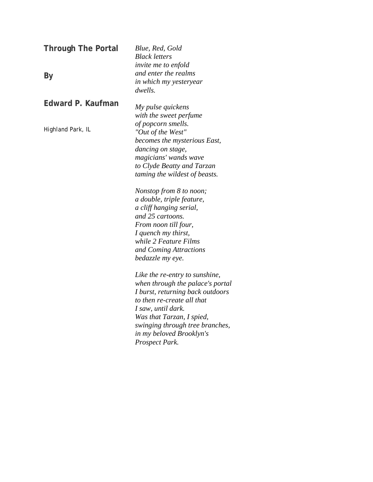| <b>Through The Portal</b> | Blue, Red, Gold<br><b>Black letters</b> |
|---------------------------|-----------------------------------------|
|                           | <i>invite me to enfold</i>              |
| By                        | and enter the realms                    |
|                           | in which my yesteryear                  |
|                           | dwells.                                 |
| Edward P. Kaufman         | My pulse quickens                       |
|                           | with the sweet perfume                  |
|                           | of popcorn smells.                      |
| Highland Park, IL         | "Out of the West"                       |
|                           | becomes the mysterious East,            |
|                           | dancing on stage,                       |
|                           | magicians' wands wave                   |
|                           | to Clyde Beatty and Tarzan              |
|                           | taming the wildest of beasts.           |
|                           | Nonstop from 8 to noon;                 |
|                           | a double, triple feature,               |
|                           | a cliff hanging serial,                 |
|                           | and 25 cartoons.                        |
|                           | From noon till four,                    |
|                           | I quench my thirst,                     |
|                           | while 2 Feature Films                   |
|                           | and Coming Attractions                  |
|                           | bedazzle my eye.                        |
|                           | Like the re-entry to sunshine,          |
|                           | when through the palace's portal        |
|                           | I burst, returning back outdoors        |
|                           | to then re-create all that              |
|                           | I saw, until dark.                      |
|                           | Was that Tarzan, I spied,               |
|                           | swinging through tree branches,         |
|                           | in my beloved Brooklyn's                |
|                           | Prospect Park.                          |
|                           |                                         |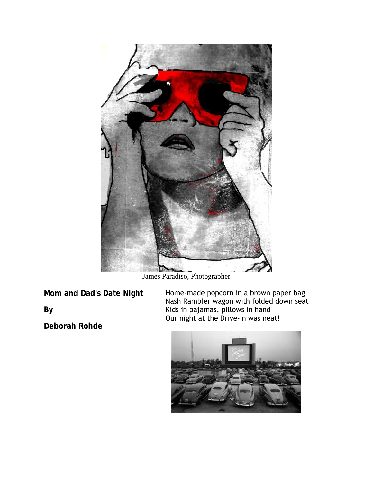

James Paradiso, Photographer

**Mom and Dad's Date Night**

**By**

**Deborah Rohde**

Home-made popcorn in a brown paper bag Nash Rambler wagon with folded down seat Kids in pajamas, pillows in hand Our night at the Drive-In was neat!

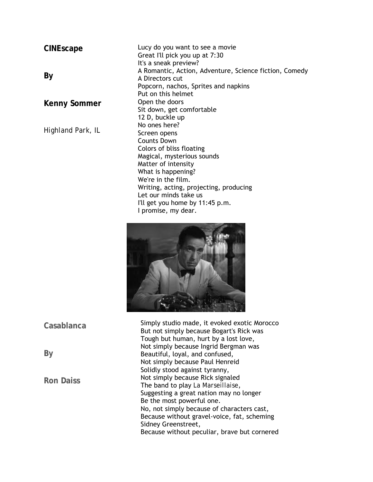## **CINEscape**

## **By**

**Kenny Sommer**

*Highland Park, IL*

Lucy do you want to see a movie Great I'll pick you up at 7:30 It's a sneak preview? A Romantic, Action, Adventure, Science fiction, Comedy A Directors cut Popcorn, nachos, Sprites and napkins Put on this helmet Open the doors Sit down, get comfortable 12 D, buckle up No ones here? Screen opens Counts Down Colors of bliss floating Magical, mysterious sounds Matter of intensity What is happening? We're in the film. Writing, acting, projecting, producing Let our minds take us I'll get you home by 11:45 p.m. I promise, my dear.



Simply studio made, it evoked exotic Morocco But not simply because Bogart's Rick was Tough but human, hurt by a lost love, Not simply because Ingrid Bergman was Beautiful, loyal, and confused, Not simply because Paul Henreid Solidly stood against tyranny, Not simply because Rick signaled The band to play *La Marseillaise*, Suggesting a great nation may no longer Be the most powerful one. No, not simply because of characters cast, Because without gravel-voice, fat, scheming Sidney Greenstreet, Because without peculiar, brave but cornered

**Casablanca**

**By**

**Ron Daiss**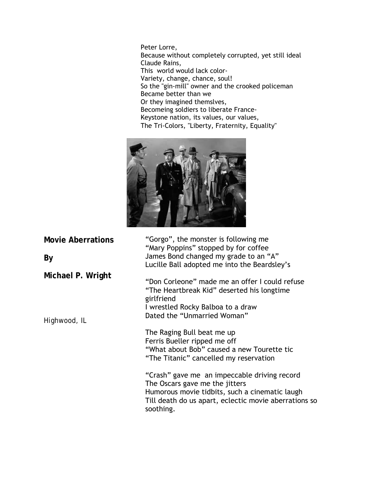Peter Lorre, Because without completely corrupted, yet still ideal Claude Rains, This world would lack color-Variety, change, chance, soul! So the "gin-mill" owner and the crooked policeman Became better than we Or they imagined themslves, Becomeing soldiers to liberate France-Keystone nation, its values, our values, The Tri-Colors, "Liberty, Fraternity, Equality"



**Movie Aberrations By Michael P. Wright** *Highwood, IL* "Gorgo", the monster is following me "Mary Poppins" stopped by for coffee James Bond changed my grade to an "A" Lucille Ball adopted me into the Beardsley's "Don Corleone" made me an offer I could refuse "The Heartbreak Kid" deserted his longtime girlfriend I wrestled Rocky Balboa to a draw Dated the "Unmarried Woman" The Raging Bull beat me up Ferris Bueller ripped me off "What about Bob" caused a new Tourette tic "The Titanic" cancelled my reservation "Crash" gave me an impeccable driving record The Oscars gave me the jitters Humorous movie tidbits, such a cinematic laugh Till death do us apart, eclectic movie aberrations so soothing.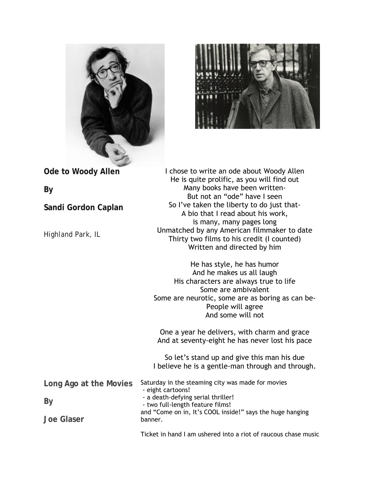



**Ode to Woody Allen By Sandi Gordon Caplan** *Highland Park, IL* I chose to write an ode about Woody Allen He is quite prolific, as you will find out Many books have been written-But not an "ode" have I seen So I've taken the liberty to do just that-A bio that I read about his work, is many, many pages long Unmatched by any American filmmaker to date Thirty two films to his credit (I counted) Written and directed by him He has style, he has humor And he makes us all laugh His characters are always true to life Some are ambivalent Some are neurotic, some are as boring as can be-People will agree And some will not One a year he delivers, with charm and grace And at seventy-eight he has never lost his pace So let's stand up and give this man his due I believe he is a gentle-man through and through. **Long Ago at the Movies By Joe Glaser** Saturday in the steaming city was made for movies - eight cartoons! - a death-defying serial thriller! - two full-length feature films! and "Come on in, It's COOL inside!" says the huge hanging banner.

Ticket in hand I am ushered into a riot of raucous chase music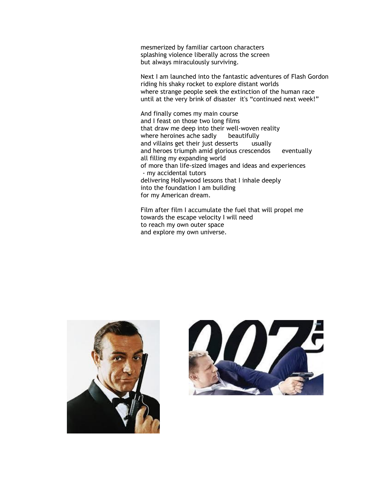mesmerized by familiar cartoon characters splashing violence liberally across the screen but always miraculously surviving.

Next I am launched into the fantastic adventures of Flash Gordon riding his shaky rocket to explore distant worlds where strange people seek the extinction of the human race until at the very brink of disaster it's "continued next week!"

And finally comes my main course and I feast on those two long films that draw me deep into their well-woven reality where heroines ache sadly beautifully and villains get their just desserts usually and heroes triumph amid glorious crescendos eventually all filling my expanding world of more than life-sized images and ideas and experiences - my accidental tutors delivering Hollywood lessons that I inhale deeply into the foundation I am building for my American dream.

Film after film I accumulate the fuel that will propel me towards the escape velocity I will need to reach my own outer space and explore my own universe.



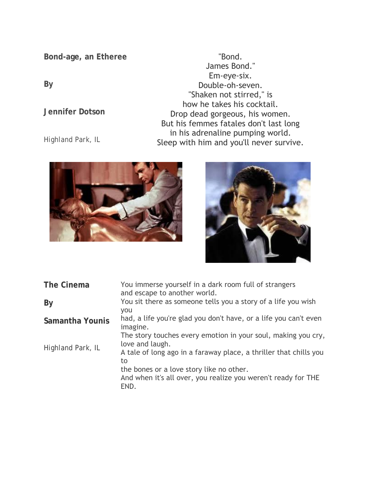**Bond-age, an Etheree**

**By** 

**Jennifer Dotson**

*Highland Park, IL*

"Bond. James Bond." Em-eye-six. Double-oh-seven. "Shaken not stirred," is how he takes his cocktail. Drop dead gorgeous, his women. But his femmes fatales don't last long in his adrenaline pumping world. Sleep with him and you'll never survive.





| The Cinema        | You immerse yourself in a dark room full of strangers<br>and escape to another world. |
|-------------------|---------------------------------------------------------------------------------------|
| By                | You sit there as someone tells you a story of a life you wish<br><b>VOU</b>           |
| Samantha Younis   | had, a life you're glad you don't have, or a life you can't even<br>imagine.          |
| Highland Park, IL | The story touches every emotion in your soul, making you cry,<br>love and laugh.      |
|                   | A tale of long ago in a faraway place, a thriller that chills you<br>to               |
|                   | the bones or a love story like no other.                                              |
|                   | And when it's all over, you realize you weren't ready for THE<br>FND.                 |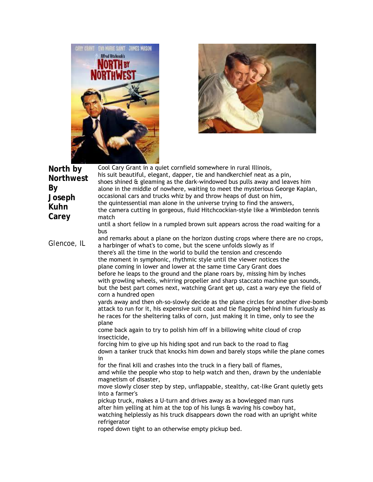



| North by<br><b>Northwest</b><br>By<br>Joseph<br><b>Kuhn</b><br>Carey | Cool Cary Grant in a quiet cornfield somewhere in rural Illinois,<br>his suit beautiful, elegant, dapper, tie and handkerchief neat as a pin,<br>shoes shined & gleaming as the dark-windowed bus pulls away and leaves him<br>alone in the middle of nowhere, waiting to meet the mysterious George Kaplan,<br>occasional cars and trucks whiz by and throw heaps of dust on him,<br>the quintessential man alone in the universe trying to find the answers,<br>the camera cutting in gorgeous, fluid Hitchcockian-style like a Wimbledon tennis<br>match<br>until a short fellow in a rumpled brown suit appears across the road waiting for a<br>bus                                                                                                                                                                                                                                                                                                                                                                                                                                                                                                                                                                                                                                                                                                                                                                                                                                                                                                                                                                                                                                                                                                                                                                 |
|----------------------------------------------------------------------|--------------------------------------------------------------------------------------------------------------------------------------------------------------------------------------------------------------------------------------------------------------------------------------------------------------------------------------------------------------------------------------------------------------------------------------------------------------------------------------------------------------------------------------------------------------------------------------------------------------------------------------------------------------------------------------------------------------------------------------------------------------------------------------------------------------------------------------------------------------------------------------------------------------------------------------------------------------------------------------------------------------------------------------------------------------------------------------------------------------------------------------------------------------------------------------------------------------------------------------------------------------------------------------------------------------------------------------------------------------------------------------------------------------------------------------------------------------------------------------------------------------------------------------------------------------------------------------------------------------------------------------------------------------------------------------------------------------------------------------------------------------------------------------------------------------------------|
| Glencoe, IL                                                          | and remarks about a plane on the horizon dusting crops where there are no crops,<br>a harbinger of what's to come, but the scene unfolds slowly as if<br>there's all the time in the world to build the tension and crescendo<br>the moment in symphonic, rhythmic style until the viewer notices the<br>plane coming in lower and lower at the same time Cary Grant does<br>before he leaps to the ground and the plane roars by, missing him by inches<br>with growling wheels, whirring propeller and sharp staccato machine gun sounds,<br>but the best part comes next, watching Grant get up, cast a wary eye the field of<br>corn a hundred open<br>yards away and then oh-so-slowly decide as the plane circles for another dive-bomb<br>attack to run for it, his expensive suit coat and tie flapping behind him furiously as<br>he races for the sheltering talks of corn, just making it in time, only to see the<br>plane<br>come back again to try to polish him off in a billowing white cloud of crop<br>insecticide,<br>forcing him to give up his hiding spot and run back to the road to flag<br>down a tanker truck that knocks him down and barely stops while the plane comes<br>in<br>for the final kill and crashes into the truck in a fiery ball of flames,<br>amd while the people who stop to help watch and then, drawn by the undeniable<br>magnetism of disaster,<br>move slowly closer step by step, unflappable, stealthy, cat-like Grant quietly gets<br>into a farmer's<br>pickup truck, makes a U-turn and drives away as a bowlegged man runs<br>after him yelling at him at the top of his lungs & waving his cowboy hat,<br>watching helplessly as his truck disappears down the road with an upright white<br>refrigerator<br>roped down tight to an otherwise empty pickup bed. |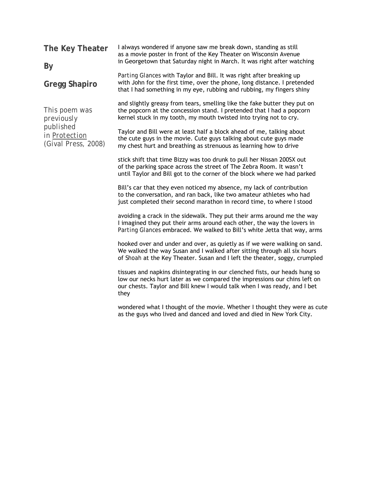| The Key Theater                                                                  | I always wondered if anyone saw me break down, standing as still<br>as a movie poster in front of the Key Theater on Wisconsin Avenue                                                                                                         |  |
|----------------------------------------------------------------------------------|-----------------------------------------------------------------------------------------------------------------------------------------------------------------------------------------------------------------------------------------------|--|
| By                                                                               | in Georgetown that Saturday night in March. It was right after watching                                                                                                                                                                       |  |
| <b>Gregg Shapiro</b>                                                             | Parting Glances with Taylor and Bill. It was right after breaking up<br>with John for the first time, over the phone, long distance. I pretended<br>that I had something in my eye, rubbing and rubbing, my fingers shiny                     |  |
| This poem was<br>previously<br>published<br>in Protection<br>(Gival Press, 2008) | and slightly greasy from tears, smelling like the fake butter they put on<br>the popcorn at the concession stand. I pretended that I had a popcorn<br>kernel stuck in my tooth, my mouth twisted into trying not to cry.                      |  |
|                                                                                  | Taylor and Bill were at least half a block ahead of me, talking about<br>the cute guys in the movie. Cute guys talking about cute guys made<br>my chest hurt and breathing as strenuous as learning how to drive                              |  |
|                                                                                  | stick shift that time Bizzy was too drunk to pull her Nissan 200SX out<br>of the parking space across the street of The Zebra Room. It wasn't<br>until Taylor and Bill got to the corner of the block where we had parked                     |  |
|                                                                                  | Bill's car that they even noticed my absence, my lack of contribution<br>to the conversation, and ran back, like two amateur athletes who had<br>just completed their second marathon in record time, to where I stood                        |  |
|                                                                                  | avoiding a crack in the sidewalk. They put their arms around me the way<br>I imagined they put their arms around each other, the way the lovers in<br>Parting Glances embraced. We walked to Bill's white Jetta that way, arms                |  |
|                                                                                  | hooked over and under and over, as quietly as if we were walking on sand.<br>We walked the way Susan and I walked after sitting through all six hours<br>of Shoah at the Key Theater. Susan and I left the theater, soggy, crumpled           |  |
|                                                                                  | tissues and napkins disintegrating in our clenched fists, our heads hung so<br>low our necks hurt later as we compared the impressions our chins left on<br>our chests. Taylor and Bill knew I would talk when I was ready, and I bet<br>they |  |
|                                                                                  | wondered what I thought of the movie. Whether I thought they were as cute<br>as the guys who lived and danced and loved and died in New York City.                                                                                            |  |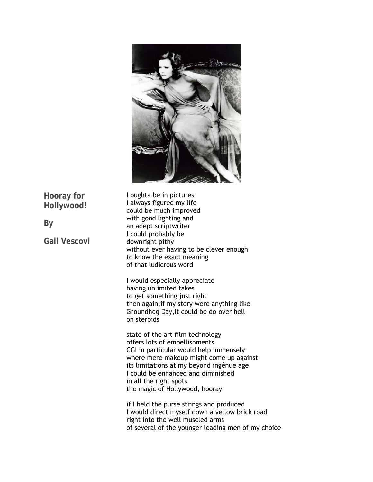

**Hooray for Hollywood!**

**By** 

**Gail Vescovi**

I oughta be in pictures I always figured my life could be much improved with good lighting and an adept scriptwriter I could probably be downright pithy without ever having to be clever enough to know the exact meaning of that ludicrous word

I would especially appreciate having unlimited takes to get something just right then again,if my story were anything like *Groundhog Day*,it could be do-over hell on steroids

state of the art film technology offers lots of embellishments CGI in particular would help immensely where mere makeup might come up against its limitations at my beyond ingénue age I could be enhanced and diminished in all the right spots the magic of Hollywood, hooray

if I held the purse strings and produced I would direct myself down a yellow brick road right into the well muscled arms of several of the younger leading men of my choice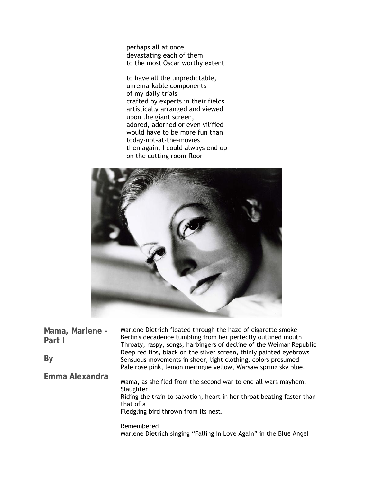perhaps all at once devastating each of them to the most Oscar worthy extent

to have all the unpredictable, unremarkable components of my daily trials crafted by experts in their fields artistically arranged and viewed upon the giant screen, adored, adorned or even vilified would have to be more fun than today-not-at-the-movies then again, I could always end up on the cutting room floor



| Mama, Marlene -<br>Part I | Marlene Dietrich floated through the haze of cigarette smoke<br>Berlin's decadence tumbling from her perfectly outlined mouth<br>Throaty, raspy, songs, harbingers of decline of the Weimar Republic      |
|---------------------------|-----------------------------------------------------------------------------------------------------------------------------------------------------------------------------------------------------------|
| By                        | Deep red lips, black on the silver screen, thinly painted eyebrows<br>Sensuous movements in sheer, light clothing, colors presumed<br>Pale rose pink, lemon meringue yellow, Warsaw spring sky blue.      |
| Emma Alexandra            | Mama, as she fled from the second war to end all wars mayhem,<br>Slaughter<br>Riding the train to salvation, heart in her throat beating faster than<br>that of a<br>Fledgling bird thrown from its nest. |
|                           | Remembered<br>Marlene Dietrich singing "Falling in Love Again" in the Blue Angel                                                                                                                          |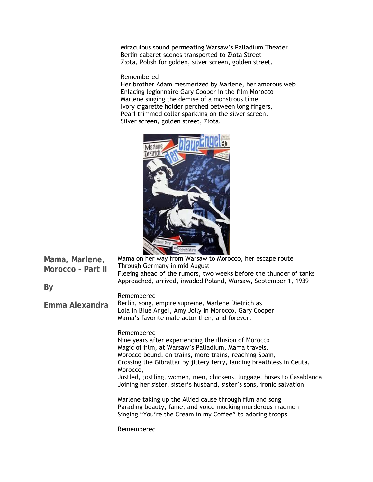Miraculous sound permeating Warsaw's Palladium Theater Berlin cabaret scenes transported to Złota Street Złota, Polish for golden, silver screen, golden street.

Remembered

Her brother Adam mesmerized by Marlene, her amorous web Enlacing legionnaire Gary Cooper in the film *Morocco* Marlene singing the demise of a monstrous time Ivory cigarette holder perched between long fingers, Pearl trimmed collar sparkling on the silver screen. Silver screen, golden street, Złota.



| Mama, Marlene,<br>Morocco - Part II | and the same of the same of the same of the same of the same of the same of the same of the same of the same<br>Mama on her way from Warsaw to Morocco, her escape route<br>Through Germany in mid August<br>Fleeing ahead of the rumors, two weeks before the thunder of tanks<br>Approached, arrived, invaded Poland, Warsaw, September 1, 1939                                                                                                                                                                                                                                                                         |
|-------------------------------------|---------------------------------------------------------------------------------------------------------------------------------------------------------------------------------------------------------------------------------------------------------------------------------------------------------------------------------------------------------------------------------------------------------------------------------------------------------------------------------------------------------------------------------------------------------------------------------------------------------------------------|
| By                                  | Remembered                                                                                                                                                                                                                                                                                                                                                                                                                                                                                                                                                                                                                |
| Emma Alexandra                      | Berlin, song, empire supreme, Marlene Dietrich as<br>Lola in <i>Blue Angel</i> , Amy Jolly in <i>Morocco</i> , Gary Cooper<br>Mama's favorite male actor then, and forever.                                                                                                                                                                                                                                                                                                                                                                                                                                               |
|                                     | Remembered<br>Nine years after experiencing the illusion of <i>Morocco</i><br>Magic of film, at Warsaw's Palladium, Mama travels.<br>Morocco bound, on trains, more trains, reaching Spain,<br>Crossing the Gibraltar by jittery ferry, landing breathless in Ceuta,<br>Morocco,<br>Jostled, jostling, women, men, chickens, luggage, buses to Casablanca,<br>Joining her sister, sister's husband, sister's sons, ironic salvation<br>Marlene taking up the Allied cause through film and song<br>Parading beauty, fame, and voice mocking murderous madmen<br>Singing "You're the Cream in my Coffee" to adoring troops |
|                                     | Remembered                                                                                                                                                                                                                                                                                                                                                                                                                                                                                                                                                                                                                |